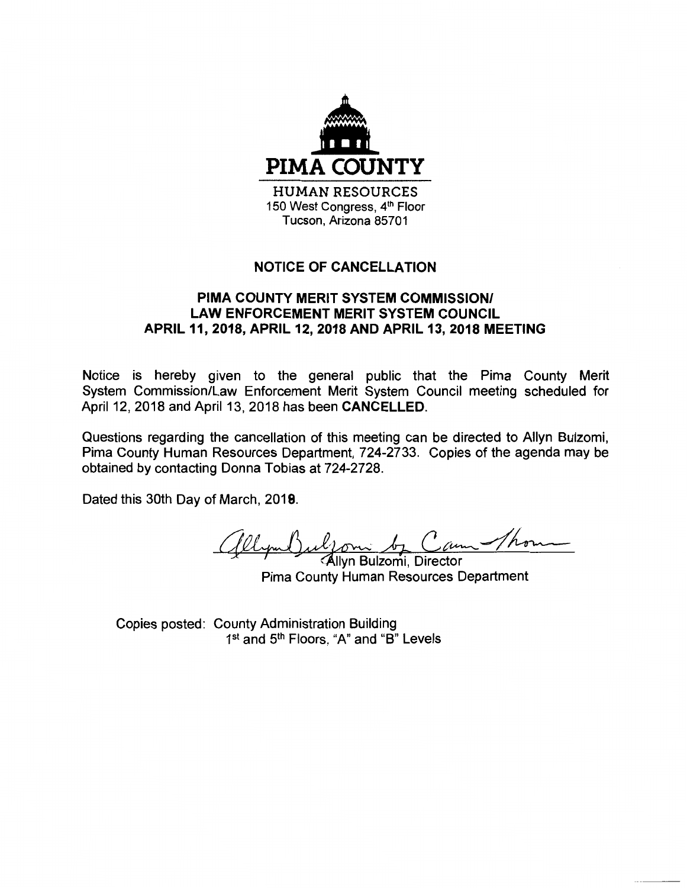

## **NOTICE OF CANCELLATION**

## **PIMA COUNTY MERIT SYSTEM COMMISSION/ LAW ENFORCEMENT MERIT SYSTEM COUNCIL APRIL 11, 2018, APRIL 12, 2018 AND APRIL 13, 2018 MEETING**

Notice is hereby given to the general public that the Pima County Merit System Commission/Law Enforcement Merit System Council meeting scheduled for April 12, 2018 and April 13, 2018 has been **CANCELLED.** 

Questions regarding the cancellation of this meeting can be directed to Allyn Bulzomi, Pima County Human Resources Department, 724-2733. Copies of the agenda may be obtained by contacting Donna Tobias at 724-2728.

Dated this 30th Day of March, 2019. **8**

(Allymb)ulfomi by Cam Thor

Pima County Human Resources Department

Copies posted: County Administration Building 1<sup>st</sup> and 5<sup>th</sup> Floors, "A" and "B" Levels